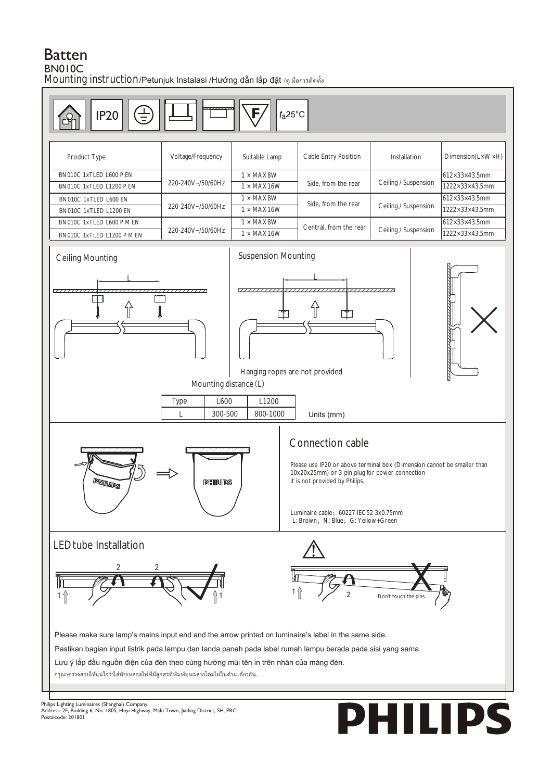## **Batten BN010C**

Mounting instruction/Petunjuk Instalasi /Hướng dẫn lắp đặt /คู่ มือการติดตั้ง



Listin Christian (Shanghai) Company<br>Address: 2F, Building 6, No. 1805, Huyi Highway, Malu Town, Jiading District, SH, PRC Postalcode: 201801